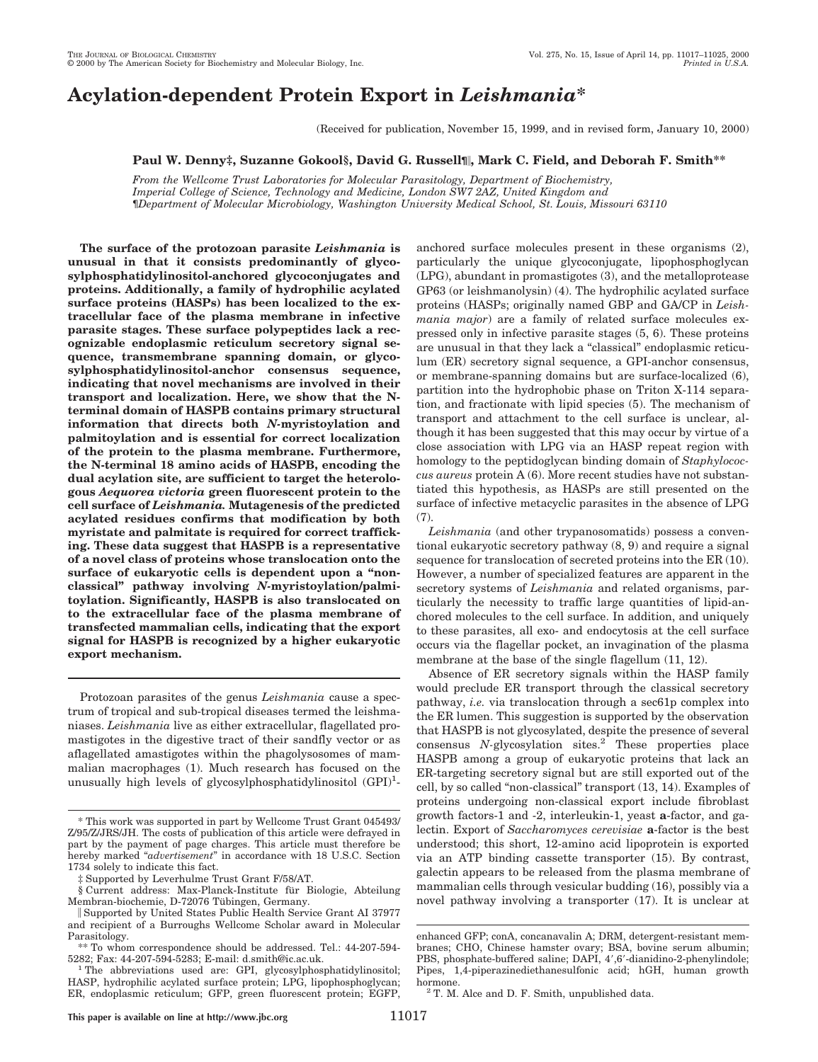# **Acylation-dependent Protein Export in** *Leishmania***\***

(Received for publication, November 15, 1999, and in revised form, January 10, 2000)

# **Paul W. Denny‡, Suzanne Gokool§, David G. Russell¶**i**, Mark C. Field, and Deborah F. Smith\*\***

*From the Wellcome Trust Laboratories for Molecular Parasitology, Department of Biochemistry, Imperial College of Science, Technology and Medicine, London SW7 2AZ, United Kingdom and* ¶*Department of Molecular Microbiology, Washington University Medical School, St. Louis, Missouri 63110*

**The surface of the protozoan parasite** *Leishmania* **is unusual in that it consists predominantly of glycosylphosphatidylinositol-anchored glycoconjugates and proteins. Additionally, a family of hydrophilic acylated surface proteins (HASPs) has been localized to the extracellular face of the plasma membrane in infective parasite stages. These surface polypeptides lack a recognizable endoplasmic reticulum secretory signal sequence, transmembrane spanning domain, or glycosylphosphatidylinositol-anchor consensus sequence, indicating that novel mechanisms are involved in their transport and localization. Here, we show that the Nterminal domain of HASPB contains primary structural information that directs both** *N-***myristoylation and palmitoylation and is essential for correct localization of the protein to the plasma membrane. Furthermore, the N-terminal 18 amino acids of HASPB, encoding the dual acylation site, are sufficient to target the heterologous** *Aequorea victoria* **green fluorescent protein to the cell surface of** *Leishmania.* **Mutagenesis of the predicted acylated residues confirms that modification by both myristate and palmitate is required for correct trafficking. These data suggest that HASPB is a representative of a novel class of proteins whose translocation onto the surface of eukaryotic cells is dependent upon a "nonclassical" pathway involving** *N-***myristoylation/palmitoylation. Significantly, HASPB is also translocated on to the extracellular face of the plasma membrane of transfected mammalian cells, indicating that the export signal for HASPB is recognized by a higher eukaryotic export mechanism.**

Protozoan parasites of the genus *Leishmania* cause a spectrum of tropical and sub-tropical diseases termed the leishmaniases. *Leishmania* live as either extracellular, flagellated promastigotes in the digestive tract of their sandfly vector or as aflagellated amastigotes within the phagolysosomes of mammalian macrophages (1). Much research has focused on the unusually high levels of glycosylphosphatidylinositol  $(GPI)^1$ - anchored surface molecules present in these organisms (2), particularly the unique glycoconjugate, lipophosphoglycan (LPG), abundant in promastigotes (3), and the metalloprotease GP63 (or leishmanolysin) (4). The hydrophilic acylated surface proteins (HASPs; originally named GBP and GA/CP in *Leishmania major*) are a family of related surface molecules expressed only in infective parasite stages (5, 6). These proteins are unusual in that they lack a "classical" endoplasmic reticulum (ER) secretory signal sequence, a GPI-anchor consensus, or membrane-spanning domains but are surface-localized (6), partition into the hydrophobic phase on Triton X-114 separation, and fractionate with lipid species (5). The mechanism of transport and attachment to the cell surface is unclear, although it has been suggested that this may occur by virtue of a close association with LPG via an HASP repeat region with homology to the peptidoglycan binding domain of *Staphylococcus aureus* protein A (6). More recent studies have not substantiated this hypothesis, as HASPs are still presented on the surface of infective metacyclic parasites in the absence of LPG (7).

*Leishmania* (and other trypanosomatids) possess a conventional eukaryotic secretory pathway (8, 9) and require a signal sequence for translocation of secreted proteins into the ER (10). However, a number of specialized features are apparent in the secretory systems of *Leishmania* and related organisms, particularly the necessity to traffic large quantities of lipid-anchored molecules to the cell surface. In addition, and uniquely to these parasites, all exo- and endocytosis at the cell surface occurs via the flagellar pocket, an invagination of the plasma membrane at the base of the single flagellum  $(11, 12)$ .

Absence of ER secretory signals within the HASP family would preclude ER transport through the classical secretory pathway, *i.e.* via translocation through a sec61p complex into the ER lumen. This suggestion is supported by the observation that HASPB is not glycosylated, despite the presence of several consensus *N-*glycosylation sites.2 These properties place HASPB among a group of eukaryotic proteins that lack an ER-targeting secretory signal but are still exported out of the cell, by so called "non-classical" transport (13, 14). Examples of proteins undergoing non-classical export include fibroblast growth factors-1 and -2, interleukin-1, yeast **a**-factor, and galectin. Export of *Saccharomyces cerevisiae* **a**-factor is the best understood; this short, 12-amino acid lipoprotein is exported via an ATP binding cassette transporter (15). By contrast, galectin appears to be released from the plasma membrane of mammalian cells through vesicular budding (16), possibly via a novel pathway involving a transporter (17). It is unclear at

<sup>\*</sup> This work was supported in part by Wellcome Trust Grant 045493/ Z/95/Z/JRS/JH. The costs of publication of this article were defrayed in part by the payment of page charges. This article must therefore be hereby marked "*advertisement*" in accordance with 18 U.S.C. Section 1734 solely to indicate this fact.

Supported by Leverhulme Trust Grant F/58/AT.

<sup>§</sup> Current address: Max-Planck-Institute für Biologie, Abteilung Membran-biochemie, D-72076 Tübingen, Germany.

i Supported by United States Public Health Service Grant AI 37977 and recipient of a Burroughs Wellcome Scholar award in Molecular Parasitology.

<sup>\*\*</sup> To whom correspondence should be addressed. Tel.: 44-207-594-

The abbreviations used are: GPI, glycosylphosphatidylinositol; HASP, hydrophilic acylated surface protein; LPG, lipophosphoglycan; ER, endoplasmic reticulum; GFP, green fluorescent protein; EGFP,

enhanced GFP; conA, concanavalin A; DRM, detergent-resistant membranes; CHO, Chinese hamster ovary; BSA, bovine serum albumin; PBS, phosphate-buffered saline; DAPI, 4',6'-dianidino-2-phenylindole; Pipes, 1,4-piperazinediethanesulfonic acid; hGH, human growth

hormone.<br> $2$  T. M. Alce and D. F. Smith, unpublished data.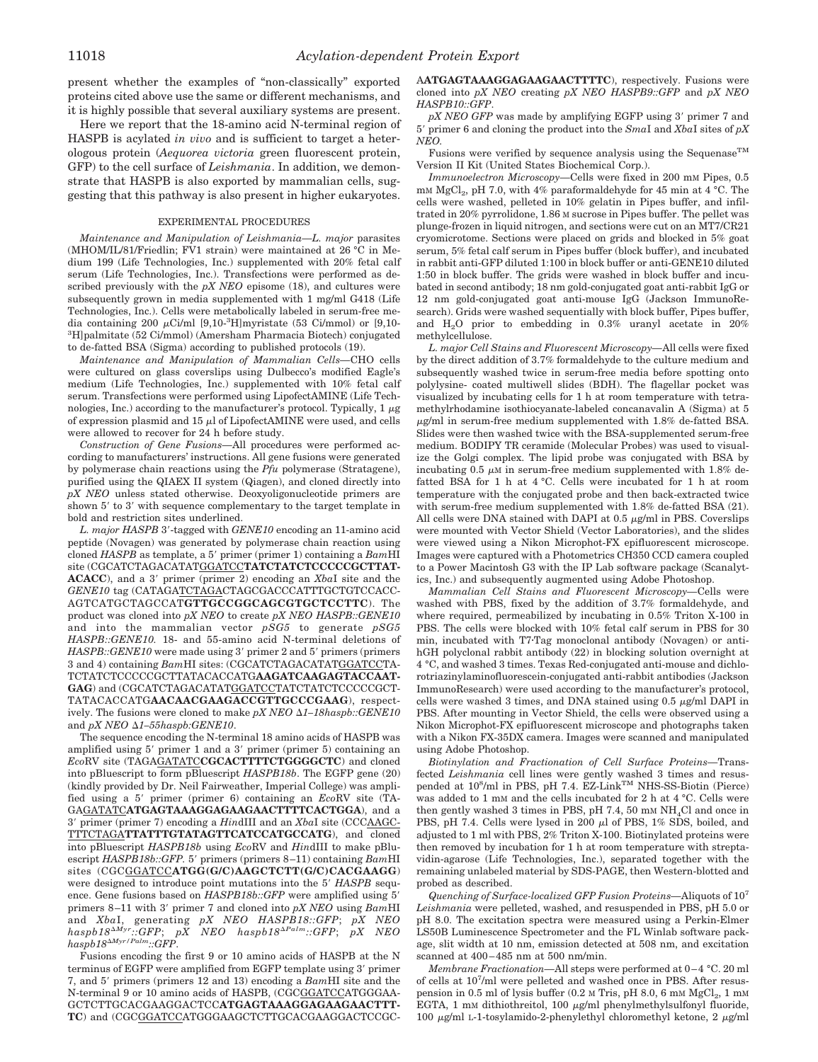present whether the examples of "non-classically" exported proteins cited above use the same or different mechanisms, and it is highly possible that several auxiliary systems are present.

Here we report that the 18-amino acid N-terminal region of HASPB is acylated *in vivo* and is sufficient to target a heterologous protein (*Aequorea victoria* green fluorescent protein, GFP) to the cell surface of *Leishmania*. In addition, we demonstrate that HASPB is also exported by mammalian cells, suggesting that this pathway is also present in higher eukaryotes.

#### EXPERIMENTAL PROCEDURES

*Maintenance and Manipulation of Leishmania—L. major* parasites (MHOM/IL/81/Friedlin; FV1 strain) were maintained at 26 °C in Medium 199 (Life Technologies, Inc.) supplemented with 20% fetal calf serum (Life Technologies, Inc.). Transfections were performed as described previously with the *pX NEO* episome (18), and cultures were subsequently grown in media supplemented with 1 mg/ml G418 (Life Technologies, Inc.). Cells were metabolically labeled in serum-free media containing 200  $\mu$ Ci/ml [9,10-<sup>3</sup>H]myristate (53 Ci/mmol) or [9,10-3 H]palmitate (52 Ci/mmol) (Amersham Pharmacia Biotech) conjugated to de-fatted BSA (Sigma) according to published protocols (19).

*Maintenance and Manipulation of Mammalian Cells—*CHO cells were cultured on glass coverslips using Dulbecco's modified Eagle's medium (Life Technologies, Inc.) supplemented with 10% fetal calf serum. Transfections were performed using LipofectAMINE (Life Technologies, Inc.) according to the manufacturer's protocol. Typically, 1  $\mu$ g of expression plasmid and 15  $\mu$ l of LipofectAMINE were used, and cells were allowed to recover for 24 h before study.

*Construction of Gene Fusions—*All procedures were performed according to manufacturers' instructions. All gene fusions were generated by polymerase chain reactions using the *Pfu* polymerase (Stratagene), purified using the QIAEX II system (Qiagen), and cloned directly into *pX NEO* unless stated otherwise. Deoxyoligonucleotide primers are shown  $5'$  to  $3'$  with sequence complementary to the target template in bold and restriction sites underlined.

L. major HASPB 3'-tagged with *GENE10* encoding an 11-amino acid peptide (Novagen) was generated by polymerase chain reaction using cloned *HASPB* as template, a 5' primer (primer 1) containing a  $BamHI$ site (CGCATCTAGACATATGGATCC**TATCTATCTCCCCCGCTTAT-ACACC**), and a 3' primer (primer 2) encoding an *XbaI* site and the *GENE10* tag (CATAGATCTAGACTAGCGACCCATTTGCTGTCCACC-AGTCATGCTAGCCAT**GTTGCCGGCAGCGTGCTCCTTC**). The product was cloned into *pX NEO* to create *pX NEO HASPB::GENE10* and into the mammalian vector *pSG5* to generate *pSG5 HASPB::GENE10.* 18- and 55-amino acid N-terminal deletions of *HASPB::GENE10* were made using 3' primer 2 and 5' primers (primers 3 and 4) containing *Bam*HI sites: (CGCATCTAGACATATGGATCCTA-TCTATCTCCCCCGCTTATACACCATG**AAGATCAAGAGTACCAAT-**GAG) and (CGCATCTAGACATATGGATCCTATCTATCTCCCCCGCT-TATACACCATG**AACAACGAAGACCGTTGCCCGAAG**), respectively. The fusions were cloned to make *pX NEO*  $\Delta1-18haspb::GENE10$ and *pX NEO*  $\Delta$ *1–55haspb:GENE10.* 

The sequence encoding the N-terminal 18 amino acids of HASPB was amplified using 5' primer 1 and a 3' primer (primer 5) containing an *Eco*RV site (TAGAGATATC**CGCACTTTTCTGGGGCTC**) and cloned into pBluescript to form pBluescript *HASPB18b*. The EGFP gene (20) (kindly provided by Dr. Neil Fairweather, Imperial College) was amplified using a 5' primer (primer 6) containing an *EcoRV* site (TA-GAGATATC**ATGAGTAAAGGAGAAGAACTTTTCACTGGA**), and a 39 primer (primer 7) encoding a *Hin*dIII and an *Xba*I site (CCCAAGC-TTTCTAGA**TTATTTGTATAGTTCATCCATGCCATG**), and cloned into pBluescript *HASPB18b* using *Eco*RV and *Hin*dIII to make pBluescript *HASPB18b::GFP.* 5' primers (primers 8-11) containing  $BamHI$ sites (CGCGGATCC**ATGG(G/C)AAGCTCTT(G/C)CACGAAGG**) were designed to introduce point mutations into the 5' HASPB sequence. Gene fusions based on *HASPB18b::GFP* were amplified using 5' primers 8-11 with 3' primer 7 and cloned into  $pXNEO$  using  $BamHI$ and *Xba*I, generating *pX NEO HASPB18::GFP*; *pX NEO*  $haspb18^{\Delta Myr}::GFP; pX$  NEO  $haspb18^{\Delta Palm}::GFP; pX$  NEO  $haspb18^{\Delta Myr/Palm}$ ::GFP.

Fusions encoding the first 9 or 10 amino acids of HASPB at the N terminus of EGFP were amplified from EGFP template using 3' primer 7, and 5' primers (primers 12 and 13) encoding a *Bam*HI site and the N-terminal 9 or 10 amino acids of HASPB, (CGCGGATCCATGGGAA-GCTCTTGCACGAAGGACTCC**ATGAGTAAAGGAGAAGAACTTT-TC**) and (CGCGGATCCATGGGAAGCTCTTGCACGAAGGACTCCGC-

A**ATGAGTAAAGGAGAAGAACTTTTC**), respectively. Fusions were cloned into *pX NEO* creating *pX NEO HASPB9::GFP* and *pX NEO HASPB10::GFP*.

*pX NEO GFP* was made by amplifying EGFP using 3' primer 7 and 59 primer 6 and cloning the product into the *Sma*I and *Xba*I sites of *pX NEO.*

Fusions were verified by sequence analysis using the Sequenase<sup>TM</sup> Version II Kit (United States Biochemical Corp.).

*Immunoelectron Microscopy—*Cells were fixed in 200 mM Pipes, 0.5 mM  $MgCl<sub>2</sub>$ , pH 7.0, with 4% paraformaldehyde for 45 min at 4 °C. The cells were washed, pelleted in 10% gelatin in Pipes buffer, and infiltrated in 20% pyrrolidone, 1.86 M sucrose in Pipes buffer. The pellet was plunge-frozen in liquid nitrogen, and sections were cut on an MT7/CR21 cryomicrotome. Sections were placed on grids and blocked in 5% goat serum, 5% fetal calf serum in Pipes buffer (block buffer), and incubated in rabbit anti-GFP diluted 1:100 in block buffer or anti-GENE10 diluted 1:50 in block buffer. The grids were washed in block buffer and incubated in second antibody; 18 nm gold-conjugated goat anti-rabbit IgG or 12 nm gold-conjugated goat anti-mouse IgG (Jackson ImmunoResearch). Grids were washed sequentially with block buffer, Pipes buffer, and  $H<sub>2</sub>O$  prior to embedding in 0.3% uranyl acetate in 20% methylcellulose.

*L. major Cell Stains and Fluorescent Microscopy—*All cells were fixed by the direct addition of 3.7% formaldehyde to the culture medium and subsequently washed twice in serum-free media before spotting onto polylysine- coated multiwell slides (BDH). The flagellar pocket was visualized by incubating cells for 1 h at room temperature with tetramethylrhodamine isothiocyanate-labeled concanavalin A (Sigma) at 5  $\mu$ g/ml in serum-free medium supplemented with 1.8% de-fatted BSA. Slides were then washed twice with the BSA-supplemented serum-free medium. BODIPY TR ceramide (Molecular Probes) was used to visualize the Golgi complex. The lipid probe was conjugated with BSA by incubating 0.5  $\mu$ M in serum-free medium supplemented with 1.8% defatted BSA for 1 h at 4 °C. Cells were incubated for 1 h at room temperature with the conjugated probe and then back-extracted twice with serum-free medium supplemented with 1.8% de-fatted BSA (21). All cells were DNA stained with DAPI at  $0.5 \mu\text{g/ml}$  in PBS. Coverslips were mounted with Vector Shield (Vector Laboratories), and the slides were viewed using a Nikon Microphot-FX epifluorescent microscope. Images were captured with a Photometrics CH350 CCD camera coupled to a Power Macintosh G3 with the IP Lab software package (Scanalytics, Inc.) and subsequently augmented using Adobe Photoshop.

*Mammalian Cell Stains and Fluorescent Microscopy—*Cells were washed with PBS, fixed by the addition of 3.7% formaldehyde, and where required, permeabilized by incubating in 0.5% Triton X-100 in PBS. The cells were blocked with 10% fetal calf serum in PBS for 30 min, incubated with T7.Tag monoclonal antibody (Novagen) or antihGH polyclonal rabbit antibody (22) in blocking solution overnight at 4 °C, and washed 3 times. Texas Red-conjugated anti-mouse and dichlorotriazinylaminofluorescein-conjugated anti-rabbit antibodies (Jackson ImmunoResearch) were used according to the manufacturer's protocol, cells were washed 3 times, and DNA stained using  $0.5 \mu\text{g/ml}$  DAPI in PBS. After mounting in Vector Shield, the cells were observed using a Nikon Microphot-FX epifluorescent microscope and photographs taken with a Nikon FX-35DX camera. Images were scanned and manipulated using Adobe Photoshop.

*Biotinylation and Fractionation of Cell Surface Proteins—*Transfected *Leishmania* cell lines were gently washed 3 times and resuspended at 10<sup>8</sup>/ml in PBS, pH 7.4. EZ-Link<sup>TM</sup> NHS-SS-Biotin (Pierce) was added to 1 mM and the cells incubated for 2 h at 4 °C. Cells were then gently washed 3 times in PBS, pH 7.4, 50 mM  $NH<sub>4</sub>Cl$  and once in PBS, pH 7.4. Cells were lysed in 200  $\mu$ l of PBS, 1% SDS, boiled, and adjusted to 1 ml with PBS, 2% Triton X-100. Biotinylated proteins were then removed by incubation for 1 h at room temperature with streptavidin-agarose (Life Technologies, Inc.), separated together with the remaining unlabeled material by SDS-PAGE, then Western-blotted and probed as described.

*Quenching of Surface-localized GFP Fusion Proteins—*Aliquots of 107 *Leishmania* were pelleted, washed, and resuspended in PBS, pH 5.0 or pH 8.0. The excitation spectra were measured using a Perkin-Elmer LS50B Luminescence Spectrometer and the FL Winlab software package, slit width at 10 nm, emission detected at 508 nm, and excitation scanned at 400–485 nm at 500 nm/min.

*Membrane Fractionation—*All steps were performed at 0–4 °C. 20 ml of cells at 107 /ml were pelleted and washed once in PBS. After resuspension in 0.5 ml of lysis buffer  $(0.2 \text{ M Tris, pH } 8.0, 6 \text{ mM MgCl}_2, 1 \text{ mM }$ EGTA, 1 mm dithiothreitol, 100  $\mu$ g/ml phenylmethylsulfonyl fluoride, 100  $\mu$ g/ml L-1-tosylamido-2-phenylethyl chloromethyl ketone, 2  $\mu$ g/ml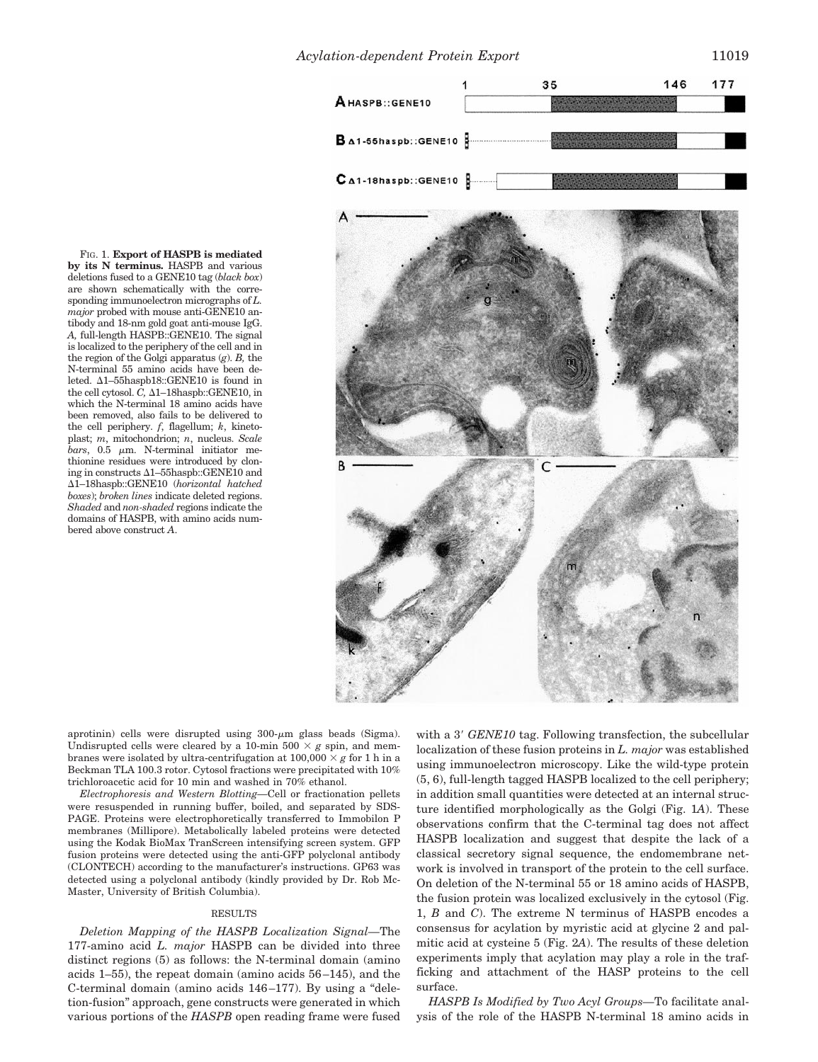

**by its N terminus.** HASPB and various deletions fused to a GENE10 tag (*black box*) are shown schematically with the corresponding immunoelectron micrographs of *L. major* probed with mouse anti-GENE10 antibody and 18-nm gold goat anti-mouse IgG. *A,* full-length HASPB::GENE10. The signal is localized to the periphery of the cell and in the region of the Golgi apparatus (*g*). *B,* the N-terminal 55 amino acids have been deleted.  $\Delta$ 1–55haspb18::GENE10 is found in the cell cytosol.  $\tilde{C}$ ,  $\Delta 1$ –18haspb::GENE10, in which the N-terminal 18 amino acids have been removed, also fails to be delivered to the cell periphery. *f*, flagellum; *k*, kinetoplast; *m*, mitochondrion; *n*, nucleus. *Scale*  $bars$ ,  $0.5 \mu m$ . N-terminal initiator methionine residues were introduced by cloning in constructs  $\Delta$ 1–55haspb::GENE10 and D1–18haspb::GENE10 (*horizontal hatched boxes*); *broken lines* indicate deleted regions. *Shaded* and *non-shaded* regions indicate the domains of HASPB, with amino acids numbered above construct *A*.

FIG. 1. **Export of HASPB is mediated**

aprotinin) cells were disrupted using  $300$ - $\mu$ m glass beads (Sigma). Undisrupted cells were cleared by a 10-min 500  $\times$  *g* spin, and membranes were isolated by ultra-centrifugation at  $100,000 \times g$  for 1 h in a Beckman TLA 100.3 rotor. Cytosol fractions were precipitated with 10% trichloroacetic acid for 10 min and washed in 70% ethanol.

*Electrophoresis and Western Blotting—*Cell or fractionation pellets were resuspended in running buffer, boiled, and separated by SDS-PAGE. Proteins were electrophoretically transferred to Immobilon P membranes (Millipore). Metabolically labeled proteins were detected using the Kodak BioMax TranScreen intensifying screen system. GFP fusion proteins were detected using the anti-GFP polyclonal antibody (CLONTECH) according to the manufacturer's instructions. GP63 was detected using a polyclonal antibody (kindly provided by Dr. Rob Mc-Master, University of British Columbia).

## RESULTS

*Deletion Mapping of the HASPB Localization Signal—*The 177-amino acid *L. major* HASPB can be divided into three distinct regions (5) as follows: the N-terminal domain (amino acids 1–55), the repeat domain (amino acids 56–145), and the C-terminal domain (amino acids 146–177). By using a "deletion-fusion" approach, gene constructs were generated in which various portions of the *HASPB* open reading frame were fused

with a 3' *GENE10* tag. Following transfection, the subcellular localization of these fusion proteins in *L. major* was established using immunoelectron microscopy. Like the wild-type protein (5, 6), full-length tagged HASPB localized to the cell periphery; in addition small quantities were detected at an internal structure identified morphologically as the Golgi (Fig. 1*A*). These observations confirm that the C-terminal tag does not affect HASPB localization and suggest that despite the lack of a classical secretory signal sequence, the endomembrane network is involved in transport of the protein to the cell surface. On deletion of the N-terminal 55 or 18 amino acids of HASPB, the fusion protein was localized exclusively in the cytosol (Fig. 1, *B* and *C*). The extreme N terminus of HASPB encodes a consensus for acylation by myristic acid at glycine 2 and palmitic acid at cysteine 5 (Fig. 2*A*). The results of these deletion experiments imply that acylation may play a role in the trafficking and attachment of the HASP proteins to the cell surface.

*HASPB Is Modified by Two Acyl Groups—*To facilitate analysis of the role of the HASPB N-terminal 18 amino acids in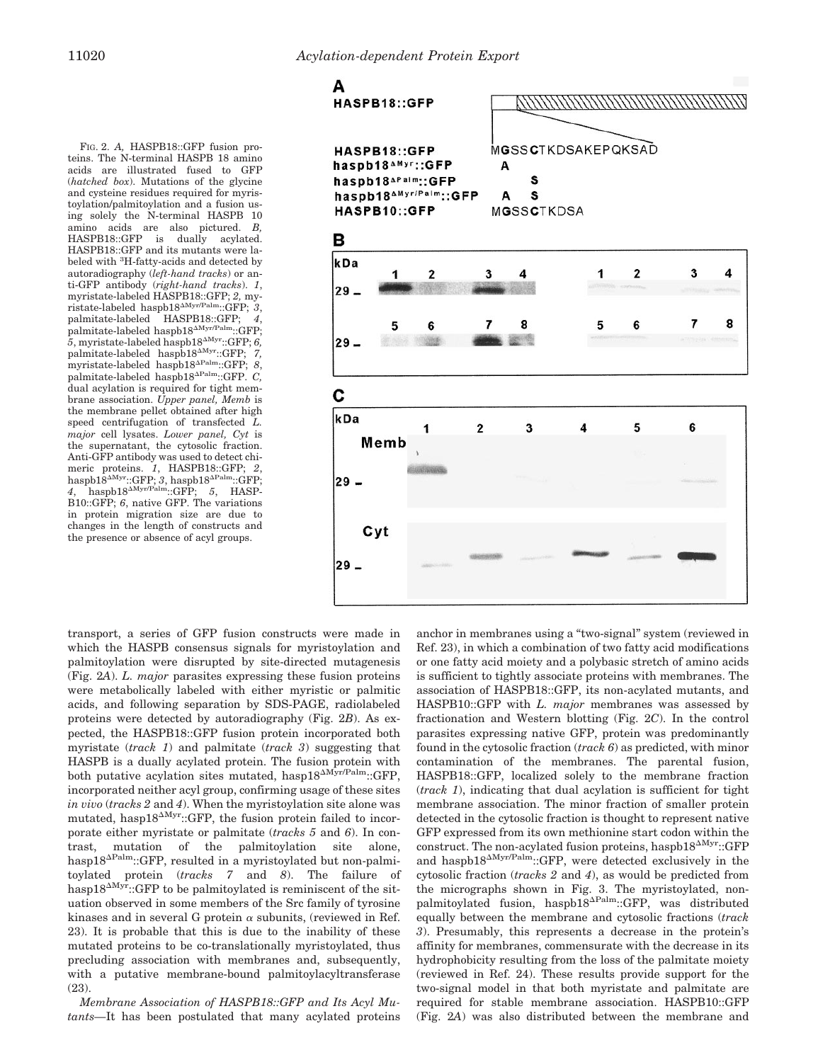FIG. 2. *A,* HASPB18::GFP fusion proteins. The N-terminal HASPB 18 amino acids are illustrated fused to GFP (*hatched box*). Mutations of the glycine and cysteine residues required for myristoylation/palmitoylation and a fusion using solely the N-terminal HASPB 10 amino acids are also pictured. *B,*  $HASPB18::GFP$  is dually HASPB18::GFP and its mutants were labeled with <sup>3</sup>H-fatty-acids and detected by autoradiography (*left-hand tracks*) or anti-GFP antibody (*right-hand tracks*). *1*, myristate-labeled HASPB18::GFP; *2,* my $ristate-labeled \; haspb18^{\Delta Myr/Palm}::GFP; 3$ , palmitate-labeled HASPB18::GFP; 4,<br>palmitate-labeled haspb18<sup>^Myr/Palm</sup>::GFP;  $\overline{5}$ , myristate-labeled haspb $18^{\Delta Myr}$ ::GFP;  $6$ , palmitate-labeled haspb18<sup> $\Delta$ Myr</sup>::GFP; 7, myristate-labeled haspb18<sup> $\Delta$ Palm</sup>::GFP; 8 palmitate-labeled haspb18<sup>APalm</sup>::GFP. *C*, dual acylation is required for tight membrane association. *Upper panel, Memb* is the membrane pellet obtained after high speed centrifugation of transfected *L. major* cell lysates. *Lower panel, Cyt* is the supernatant, the cytosolic fraction. Anti-GFP antibody was used to detect chimeric proteins. *1*, HASPB18::GFP; *2*, haspb18<sup>AMyr</sup>::GFP; 3, haspb18<sup>APalm</sup>::GFP;  $4$ , haspb18<sup> $\Delta$ Myr/Palm</sup>::GFP; 5, HASP-B10::GFP; *6*, native GFP. The variations in protein migration size are due to changes in the length of constructs and the presence or absence of acyl groups.



transport, a series of GFP fusion constructs were made in which the HASPB consensus signals for myristoylation and palmitoylation were disrupted by site-directed mutagenesis (Fig. 2*A*). *L. major* parasites expressing these fusion proteins were metabolically labeled with either myristic or palmitic acids, and following separation by SDS-PAGE, radiolabeled proteins were detected by autoradiography (Fig. 2*B*). As expected, the HASPB18::GFP fusion protein incorporated both myristate (*track 1*) and palmitate (*track 3*) suggesting that HASPB is a dually acylated protein. The fusion protein with both putative acylation sites mutated, hasp $18^{\text{AMyr/Palm}}$ ::GFP, incorporated neither acyl group, confirming usage of these sites *in vivo* (*tracks 2* and *4*). When the myristoylation site alone was mutated, hasp18 $\Delta$ Myr::GFP, the fusion protein failed to incorporate either myristate or palmitate (*tracks 5* and *6*). In contrast, mutation of the palmitoylation site alone, hasp18 $^{\Delta$ Palm::GFP, resulted in a myristoylated but non-palmitoylated protein (*tracks 7* and *8*). The failure of hasp18<sup> $\Delta$ Myr</sup>::GFP to be palmitoylated is reminiscent of the situation observed in some members of the Src family of tyrosine kinases and in several G protein  $\alpha$  subunits, (reviewed in Ref. 23). It is probable that this is due to the inability of these mutated proteins to be co-translationally myristoylated, thus precluding association with membranes and, subsequently, with a putative membrane-bound palmitoylacyltransferase (23).

*Membrane Association of HASPB18::GFP and Its Acyl Mutants—*It has been postulated that many acylated proteins anchor in membranes using a "two-signal" system (reviewed in Ref. 23), in which a combination of two fatty acid modifications or one fatty acid moiety and a polybasic stretch of amino acids is sufficient to tightly associate proteins with membranes. The association of HASPB18::GFP, its non-acylated mutants, and HASPB10::GFP with *L. major* membranes was assessed by fractionation and Western blotting (Fig. 2*C*). In the control parasites expressing native GFP, protein was predominantly found in the cytosolic fraction (*track 6*) as predicted, with minor contamination of the membranes. The parental fusion, HASPB18::GFP, localized solely to the membrane fraction (*track 1*), indicating that dual acylation is sufficient for tight membrane association. The minor fraction of smaller protein detected in the cytosolic fraction is thought to represent native GFP expressed from its own methionine start codon within the construct. The non-acylated fusion proteins, haspb $18^{\text{MW}}::GFP$ and haspb $18^{\text{AMyr/Palm}}$ ::GFP, were detected exclusively in the cytosolic fraction (*tracks 2* and *4*), as would be predicted from the micrographs shown in Fig. 3. The myristoylated, nonpalmitoylated fusion, haspb $18^{\text{APalm}}::GFP$ , was distributed equally between the membrane and cytosolic fractions (*track 3*). Presumably, this represents a decrease in the protein's affinity for membranes, commensurate with the decrease in its hydrophobicity resulting from the loss of the palmitate moiety (reviewed in Ref. 24). These results provide support for the two-signal model in that both myristate and palmitate are required for stable membrane association. HASPB10::GFP (Fig. 2*A*) was also distributed between the membrane and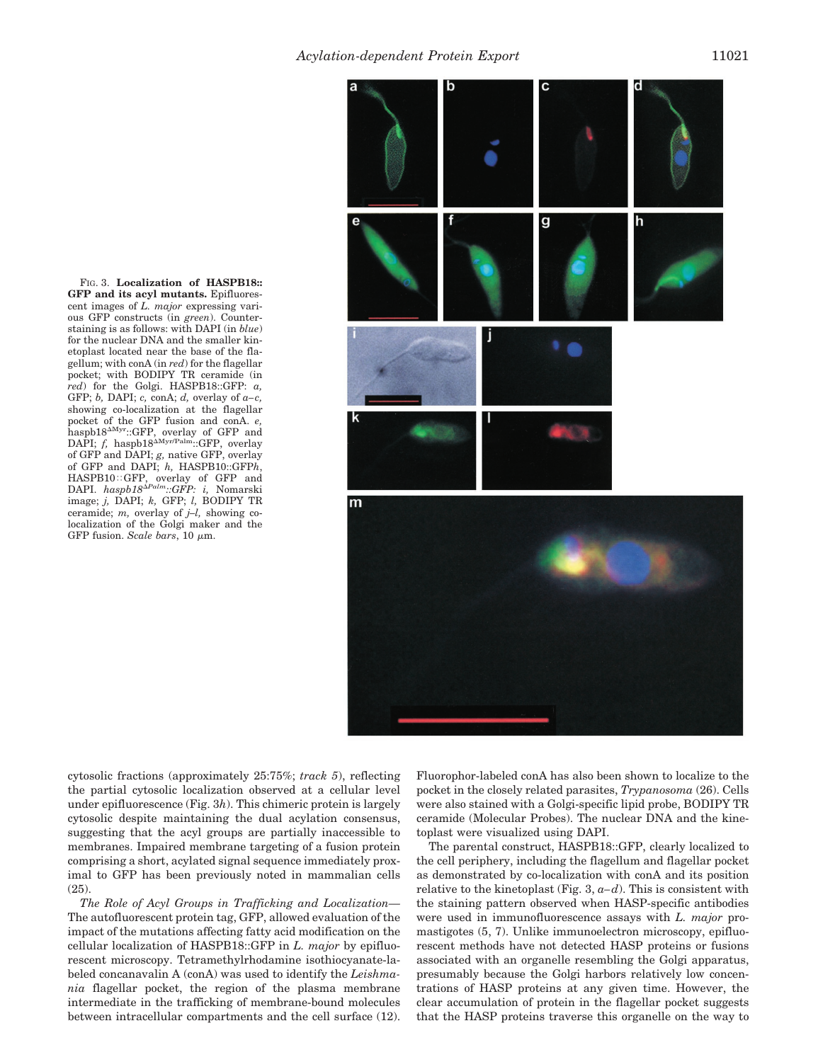FIG. 3. **Localization of HASPB18:: GFP and its acyl mutants.** Epifluorescent images of *L. major* expressing various GFP constructs (in *green*). Counterstaining is as follows: with DAPI (in *blue*) for the nuclear DNA and the smaller kinetoplast located near the base of the flagellum; with conA (in *red*) for the flagellar pocket; with BODIPY TR ceramide (in *red*) for the Golgi. HASPB18::GFP: *a,* GFP; *b,* DAPI; *c,* conA; *d,* overlay of *a–c,* showing co-localization at the flagellar pocket of the GFP fusion and conA. *e,* haspb $18^{\text{Myr}}::GFP$ , overlay of GFP and DAPI;  $f$ , haspb18 $\Delta$ Myr/Palm::GFP, overlay of GFP and DAPI; *g,* native GFP, overlay of GFP and DAPI; *h,* HASPB10::GFP*h*, HASPB10::GFP, overlay of GFP and<br>DAPI. *haspb18<sup>APalm</sup>::GFP: i,* Nomarski image; *j,* DAPI; *k,* GFP; *l,* BODIPY TR ceramide; *m,* overlay of *j–l,* showing colocalization of the Golgi maker and the GFP fusion. *Scale bars*,  $10 \mu m$ .



cytosolic fractions (approximately 25:75%; *track 5*), reflecting the partial cytosolic localization observed at a cellular level under epifluorescence (Fig. 3*h*). This chimeric protein is largely cytosolic despite maintaining the dual acylation consensus, suggesting that the acyl groups are partially inaccessible to membranes. Impaired membrane targeting of a fusion protein comprising a short, acylated signal sequence immediately proximal to GFP has been previously noted in mammalian cells  $(25)$ 

*The Role of Acyl Groups in Trafficking and Localization—* The autofluorescent protein tag, GFP, allowed evaluation of the impact of the mutations affecting fatty acid modification on the cellular localization of HASPB18::GFP in *L. major* by epifluorescent microscopy. Tetramethylrhodamine isothiocyanate-labeled concanavalin A (conA) was used to identify the *Leishmania* flagellar pocket, the region of the plasma membrane intermediate in the trafficking of membrane-bound molecules between intracellular compartments and the cell surface (12). Fluorophor-labeled conA has also been shown to localize to the pocket in the closely related parasites, *Trypanosoma* (26). Cells were also stained with a Golgi-specific lipid probe, BODIPY TR ceramide (Molecular Probes). The nuclear DNA and the kinetoplast were visualized using DAPI.

The parental construct, HASPB18::GFP, clearly localized to the cell periphery, including the flagellum and flagellar pocket as demonstrated by co-localization with conA and its position relative to the kinetoplast (Fig. 3, *a–d*). This is consistent with the staining pattern observed when HASP-specific antibodies were used in immunofluorescence assays with *L. major* promastigotes (5, 7). Unlike immunoelectron microscopy, epifluorescent methods have not detected HASP proteins or fusions associated with an organelle resembling the Golgi apparatus, presumably because the Golgi harbors relatively low concentrations of HASP proteins at any given time. However, the clear accumulation of protein in the flagellar pocket suggests that the HASP proteins traverse this organelle on the way to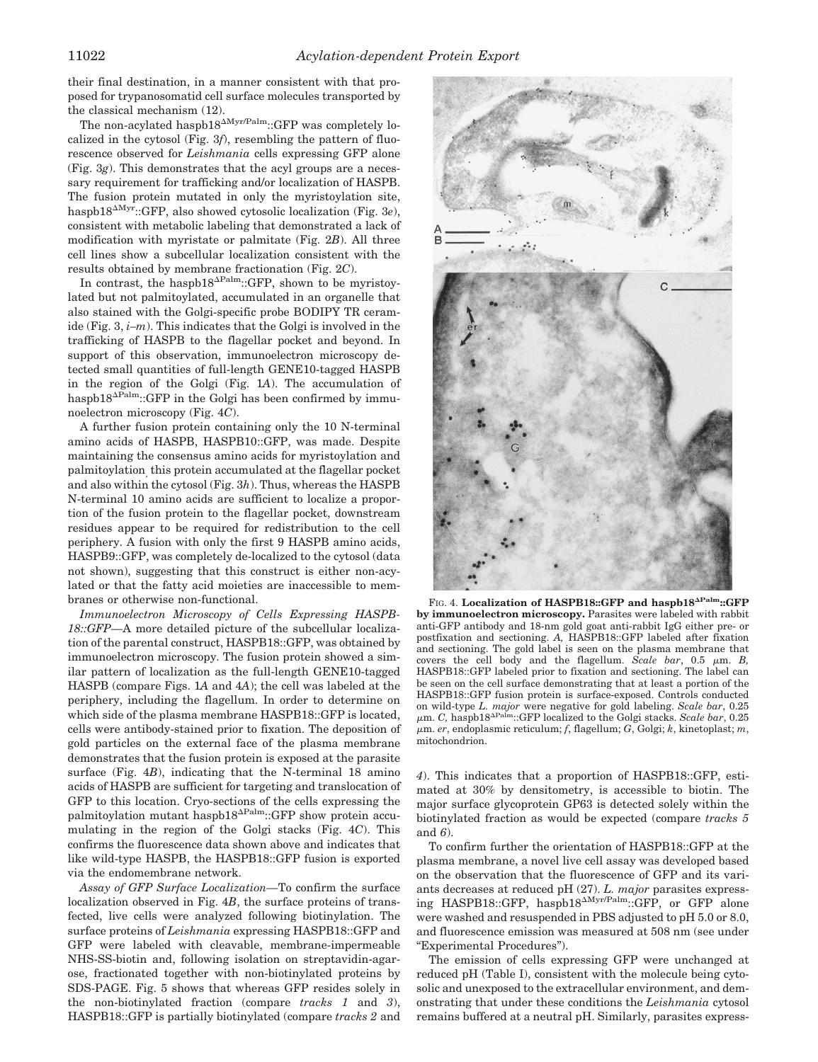their final destination, in a manner consistent with that proposed for trypanosomatid cell surface molecules transported by the classical mechanism (12).

The non-acylated haspb $18^{\text{AMyr/Palm}}$ ::GFP was completely localized in the cytosol (Fig. 3*f*), resembling the pattern of fluorescence observed for *Leishmania* cells expressing GFP alone (Fig. 3*g*). This demonstrates that the acyl groups are a necessary requirement for trafficking and/or localization of HASPB. The fusion protein mutated in only the myristoylation site, haspb18<sup> $\Delta$ Myr</sup>::GFP, also showed cytosolic localization (Fig. 3*e*), consistent with metabolic labeling that demonstrated a lack of modification with myristate or palmitate (Fig. 2*B*). All three cell lines show a subcellular localization consistent with the results obtained by membrane fractionation (Fig. 2*C*).

In contrast, the haspb18 $\Delta_{\text{Palm}}$ :GFP, shown to be myristoylated but not palmitoylated, accumulated in an organelle that also stained with the Golgi-specific probe BODIPY TR ceramide (Fig. 3, *i–m*). This indicates that the Golgi is involved in the trafficking of HASPB to the flagellar pocket and beyond. In support of this observation, immunoelectron microscopy detected small quantities of full-length GENE10-tagged HASPB in the region of the Golgi (Fig. 1*A*). The accumulation of haspb $18^{\text{AFalm}}::GFP$  in the Golgi has been confirmed by immunoelectron microscopy (Fig. 4*C*).

A further fusion protein containing only the 10 N-terminal amino acids of HASPB, HASPB10::GFP, was made. Despite maintaining the consensus amino acids for myristoylation and palmitoylation, this protein accumulated at the flagellar pocket and also within the cytosol (Fig. 3*h*). Thus, whereas the HASPB N-terminal 10 amino acids are sufficient to localize a proportion of the fusion protein to the flagellar pocket, downstream residues appear to be required for redistribution to the cell periphery. A fusion with only the first 9 HASPB amino acids, HASPB9::GFP, was completely de-localized to the cytosol (data not shown), suggesting that this construct is either non-acylated or that the fatty acid moieties are inaccessible to membranes or otherwise non-functional.

*Immunoelectron Microscopy of Cells Expressing HASPB-18::GFP—*A more detailed picture of the subcellular localization of the parental construct, HASPB18::GFP, was obtained by immunoelectron microscopy. The fusion protein showed a similar pattern of localization as the full-length GENE10-tagged HASPB (compare Figs. 1*A* and 4*A*); the cell was labeled at the periphery, including the flagellum. In order to determine on which side of the plasma membrane HASPB18::GFP is located, cells were antibody-stained prior to fixation. The deposition of gold particles on the external face of the plasma membrane demonstrates that the fusion protein is exposed at the parasite surface (Fig. 4*B*), indicating that the N-terminal 18 amino acids of HASPB are sufficient for targeting and translocation of GFP to this location. Cryo-sections of the cells expressing the palmitoylation mutant haspb $18^{\Delta Palm}$ ::GFP show protein accumulating in the region of the Golgi stacks (Fig. 4*C*). This confirms the fluorescence data shown above and indicates that like wild-type HASPB, the HASPB18::GFP fusion is exported via the endomembrane network.

*Assay of GFP Surface Localization—*To confirm the surface localization observed in Fig. 4*B*, the surface proteins of transfected, live cells were analyzed following biotinylation. The surface proteins of *Leishmania* expressing HASPB18::GFP and GFP were labeled with cleavable, membrane-impermeable NHS-SS-biotin and, following isolation on streptavidin-agarose, fractionated together with non-biotinylated proteins by SDS-PAGE. Fig. 5 shows that whereas GFP resides solely in the non-biotinylated fraction (compare *tracks 1* and *3*), HASPB18::GFP is partially biotinylated (compare *tracks 2* and



FIG. 4. Localization of HASPB18::GFP and haspb18<sup>APalm</sup>::GFP **by immunoelectron microscopy.** Parasites were labeled with rabbit anti-GFP antibody and 18-nm gold goat anti-rabbit IgG either pre- or postfixation and sectioning. *A,* HASPB18::GFP labeled after fixation and sectioning. The gold label is seen on the plasma membrane that covers the cell body and the flagellum. *Scale bar*, 0.5  $\mu$ m. *B*, HASPB18::GFP labeled prior to fixation and sectioning. The label can be seen on the cell surface demonstrating that at least a portion of the HASPB18::GFP fusion protein is surface-exposed. Controls conducted on wild-type *L. major* were negative for gold labeling. *Scale bar*, 0.25  $\mu$ m. *C*, haspb18<sup> $\Delta$ Palm</sup>::GFP localized to the Golgi stacks. *Scale bar*, 0.25 <sup>m</sup>m. *er*, endoplasmic reticulum; *f*, flagellum; *G*, Golgi; *k*, kinetoplast; *m*, mitochondrion.

*4*). This indicates that a proportion of HASPB18::GFP, estimated at 30% by densitometry, is accessible to biotin. The major surface glycoprotein GP63 is detected solely within the biotinylated fraction as would be expected (compare *tracks 5* and *6*).

To confirm further the orientation of HASPB18::GFP at the plasma membrane, a novel live cell assay was developed based on the observation that the fluorescence of GFP and its variants decreases at reduced pH (27). *L. major* parasites expressing HASPB18::GFP, haspb18<sup> $\Delta$ Myr/Palm</sup>::GFP, or GFP alone were washed and resuspended in PBS adjusted to pH 5.0 or 8.0, and fluorescence emission was measured at 508 nm (see under "Experimental Procedures").

The emission of cells expressing GFP were unchanged at reduced pH (Table I), consistent with the molecule being cytosolic and unexposed to the extracellular environment, and demonstrating that under these conditions the *Leishmania* cytosol remains buffered at a neutral pH. Similarly, parasites express-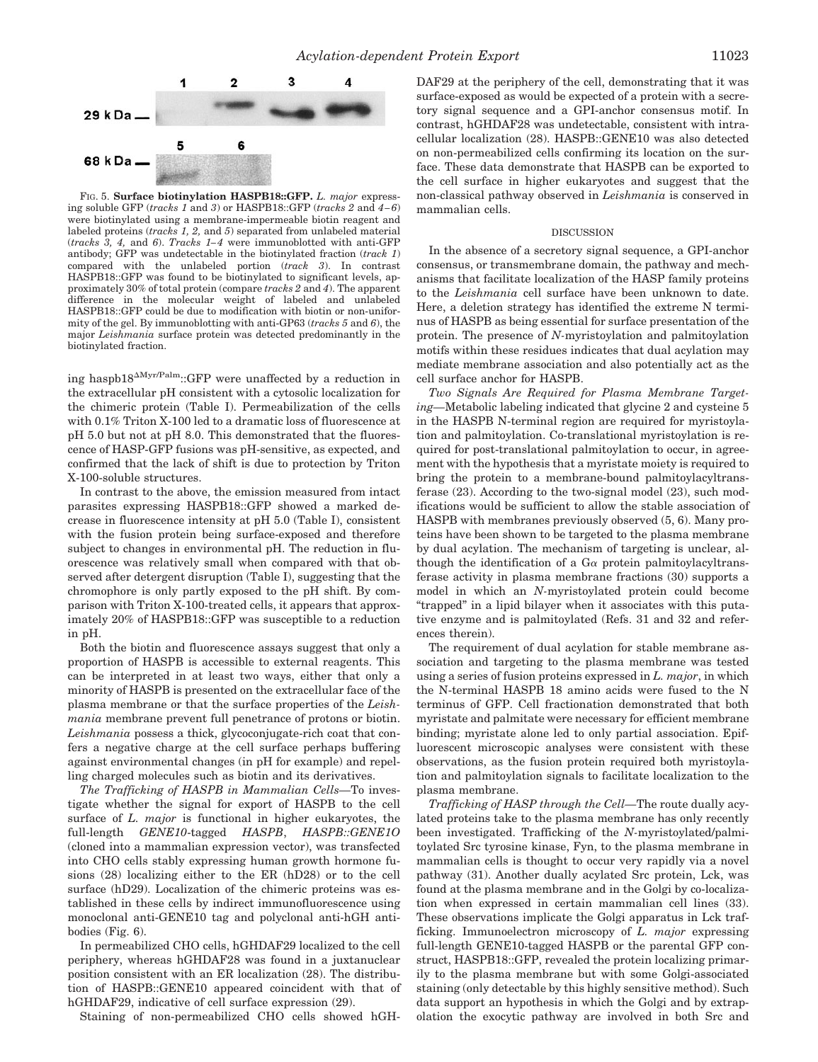mammalian cells.



FIG. 5. **Surface biotinylation HASPB18::GFP.** *L. major* expressing soluble GFP (*tracks 1* and *3*) or HASPB18::GFP (*tracks 2* and *4–6*) were biotinylated using a membrane-impermeable biotin reagent and labeled proteins (*tracks 1, 2,* and *5*) separated from unlabeled material (*tracks 3, 4,* and *6*). *Tracks 1–4* were immunoblotted with anti-GFP antibody; GFP was undetectable in the biotinylated fraction (*track 1*) compared with the unlabeled portion (*track 3*). In contrast HASPB18::GFP was found to be biotinylated to significant levels, approximately 30% of total protein (compare *tracks 2* and *4*). The apparent difference in the molecular weight of labeled and unlabeled HASPB18::GFP could be due to modification with biotin or non-uniformity of the gel. By immunoblotting with anti-GP63 (*tracks 5* and *6*), the major *Leishmania* surface protein was detected predominantly in the biotinylated fraction.

ing haspb $18^{\Delta Myr/Palm}$ ::GFP were unaffected by a reduction in the extracellular pH consistent with a cytosolic localization for the chimeric protein (Table I). Permeabilization of the cells with 0.1% Triton X-100 led to a dramatic loss of fluorescence at pH 5.0 but not at pH 8.0. This demonstrated that the fluorescence of HASP-GFP fusions was pH-sensitive, as expected, and confirmed that the lack of shift is due to protection by Triton X-100-soluble structures.

In contrast to the above, the emission measured from intact parasites expressing HASPB18::GFP showed a marked decrease in fluorescence intensity at pH 5.0 (Table I), consistent with the fusion protein being surface-exposed and therefore subject to changes in environmental pH. The reduction in fluorescence was relatively small when compared with that observed after detergent disruption (Table I), suggesting that the chromophore is only partly exposed to the pH shift. By comparison with Triton X-100-treated cells, it appears that approximately 20% of HASPB18::GFP was susceptible to a reduction in pH.

Both the biotin and fluorescence assays suggest that only a proportion of HASPB is accessible to external reagents. This can be interpreted in at least two ways, either that only a minority of HASPB is presented on the extracellular face of the plasma membrane or that the surface properties of the *Leishmania* membrane prevent full penetrance of protons or biotin. *Leishmania* possess a thick, glycoconjugate-rich coat that confers a negative charge at the cell surface perhaps buffering against environmental changes (in pH for example) and repelling charged molecules such as biotin and its derivatives.

*The Trafficking of HASPB in Mammalian Cells—*To investigate whether the signal for export of HASPB to the cell surface of *L. major* is functional in higher eukaryotes, the full-length *GENE10*-tagged *HASPB*, *HASPB::GENE1O* (cloned into a mammalian expression vector), was transfected into CHO cells stably expressing human growth hormone fusions (28) localizing either to the ER (hD28) or to the cell surface (hD29). Localization of the chimeric proteins was established in these cells by indirect immunofluorescence using monoclonal anti-GENE10 tag and polyclonal anti-hGH antibodies (Fig. 6).

In permeabilized CHO cells, hGHDAF29 localized to the cell periphery, whereas hGHDAF28 was found in a juxtanuclear position consistent with an ER localization (28). The distribution of HASPB::GENE10 appeared coincident with that of hGHDAF29, indicative of cell surface expression (29).

Staining of non-permeabilized CHO cells showed hGH-

DAF29 at the periphery of the cell, demonstrating that it was surface-exposed as would be expected of a protein with a secretory signal sequence and a GPI-anchor consensus motif. In contrast, hGHDAF28 was undetectable, consistent with intracellular localization (28). HASPB::GENE10 was also detected on non-permeabilized cells confirming its location on the surface. These data demonstrate that HASPB can be exported to the cell surface in higher eukaryotes and suggest that the non-classical pathway observed in *Leishmania* is conserved in

#### DISCUSSION

In the absence of a secretory signal sequence, a GPI-anchor consensus, or transmembrane domain, the pathway and mechanisms that facilitate localization of the HASP family proteins to the *Leishmania* cell surface have been unknown to date. Here, a deletion strategy has identified the extreme N terminus of HASPB as being essential for surface presentation of the protein. The presence of *N-*myristoylation and palmitoylation motifs within these residues indicates that dual acylation may mediate membrane association and also potentially act as the cell surface anchor for HASPB.

*Two Signals Are Required for Plasma Membrane Targeting—*Metabolic labeling indicated that glycine 2 and cysteine 5 in the HASPB N-terminal region are required for myristoylation and palmitoylation. Co-translational myristoylation is required for post-translational palmitoylation to occur, in agreement with the hypothesis that a myristate moiety is required to bring the protein to a membrane-bound palmitoylacyltransferase (23). According to the two-signal model (23), such modifications would be sufficient to allow the stable association of HASPB with membranes previously observed (5, 6). Many proteins have been shown to be targeted to the plasma membrane by dual acylation. The mechanism of targeting is unclear, although the identification of a  $Ga$  protein palmitoylacyltransferase activity in plasma membrane fractions (30) supports a model in which an *N-*myristoylated protein could become "trapped" in a lipid bilayer when it associates with this putative enzyme and is palmitoylated (Refs. 31 and 32 and references therein).

The requirement of dual acylation for stable membrane association and targeting to the plasma membrane was tested using a series of fusion proteins expressed in *L. major*, in which the N-terminal HASPB 18 amino acids were fused to the N terminus of GFP. Cell fractionation demonstrated that both myristate and palmitate were necessary for efficient membrane binding; myristate alone led to only partial association. Epifluorescent microscopic analyses were consistent with these observations, as the fusion protein required both myristoylation and palmitoylation signals to facilitate localization to the plasma membrane.

*Trafficking of HASP through the Cell—*The route dually acylated proteins take to the plasma membrane has only recently been investigated. Trafficking of the *N-*myristoylated/palmitoylated Src tyrosine kinase, Fyn, to the plasma membrane in mammalian cells is thought to occur very rapidly via a novel pathway (31). Another dually acylated Src protein, Lck, was found at the plasma membrane and in the Golgi by co-localization when expressed in certain mammalian cell lines (33). These observations implicate the Golgi apparatus in Lck trafficking. Immunoelectron microscopy of *L. major* expressing full-length GENE10-tagged HASPB or the parental GFP construct, HASPB18::GFP, revealed the protein localizing primarily to the plasma membrane but with some Golgi-associated staining (only detectable by this highly sensitive method). Such data support an hypothesis in which the Golgi and by extrapolation the exocytic pathway are involved in both Src and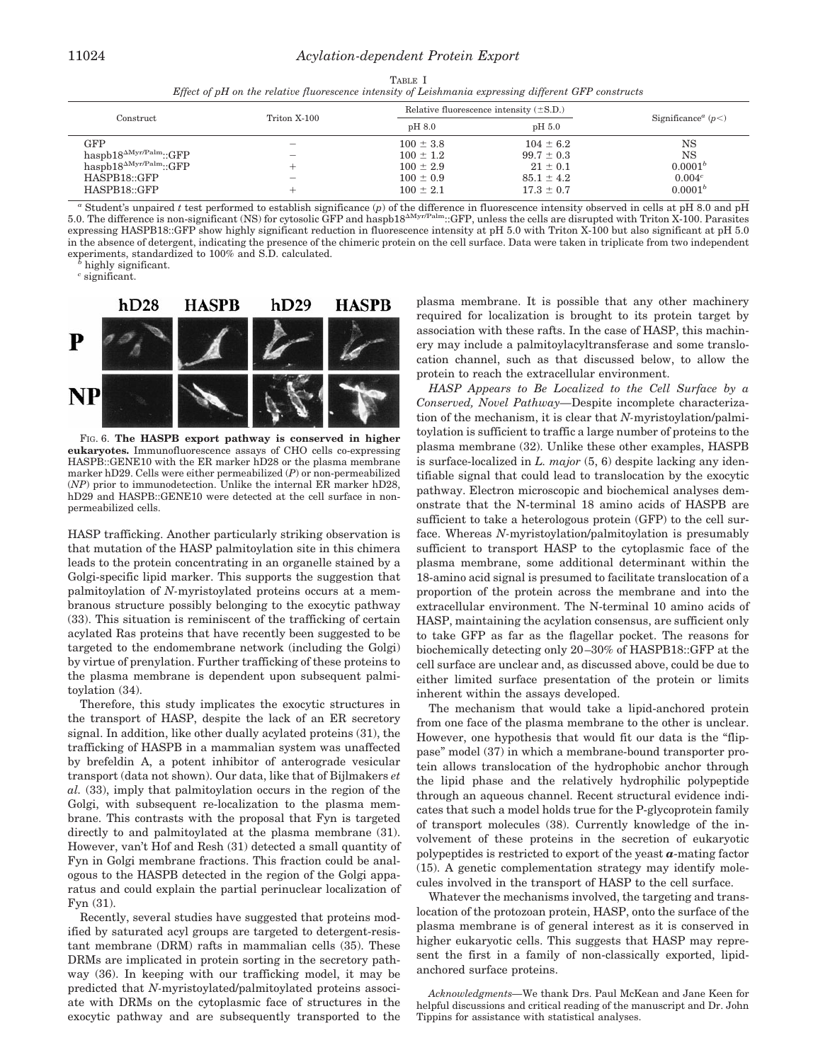### 11024 *Acylation-dependent Protein Export*

| TABLE I                                                                                               |  |
|-------------------------------------------------------------------------------------------------------|--|
| Effect of pH on the relative fluorescence intensity of Leishmania expressing different GFP constructs |  |

| Construct                        | Triton X-100                   | Relative fluorescence intensity $(\pm S.D.)$ |                   |                                           |
|----------------------------------|--------------------------------|----------------------------------------------|-------------------|-------------------------------------------|
|                                  |                                | pH 8.0                                       | pH <sub>5.0</sub> | Significance <sup><i>a</i></sup> ( $p$ <) |
| $_{\rm GFP}$                     | $\overline{\phantom{m}}$       | $100 \pm 3.8$                                | $104 \pm 6.2$     | NS                                        |
| $hasph18^{\Delta Myr/Palm}::GFP$ | $\qquad \qquad \longleftarrow$ | $100 \pm 1.2$                                | $99.7 \pm 0.3$    | <b>NS</b>                                 |
| $haspb18^{\Delta Myr/Palm}::GFP$ |                                | $100 \pm 2.9$                                | $21 \pm 0.1$      | 0.0001 <sup>b</sup>                       |
| HASPB18::GFP                     | $\overline{\phantom{0}}$       | $100 \pm 0.9$                                | $85.1 \pm 4.2$    | $0.004^{c}$                               |
| HASPB18::GFP                     | ÷                              | $100 \pm 2.1$                                | $17.3 \pm 0.7$    | 0.0001 <sup>b</sup>                       |

*<sup>a</sup>* Student's unpaired *t* test performed to establish significance (*p*) of the difference in fluorescence intensity observed in cells at pH 8.0 and pH 5.0. The difference is non-significant (NS) for cytosolic GFP and haspb18<sup> $\text{AMyr/Palm}}$ </sup>:GFP, unless the cells are disrupted with Triton X-100. Parasites expressing HASPB18::GFP show highly significant reduction in fluorescence intensity at pH 5.0 with Triton X-100 but also significant at pH 5.0 in the absence of detergent, indicating the presence of the chimeric protein on the cell surface. Data were taken in triplicate from two independent experiments, standardized to 100% and S.D. calculated. *<sup>b</sup>* highly significant.

*<sup>c</sup>* significant.



FIG. 6. **The HASPB export pathway is conserved in higher eukaryotes.** Immunofluorescence assays of CHO cells co-expressing HASPB::GENE10 with the ER marker hD28 or the plasma membrane marker hD29. Cells were either permeabilized (*P*) or non-permeabilized (*NP*) prior to immunodetection. Unlike the internal ER marker hD28, hD29 and HASPB::GENE10 were detected at the cell surface in nonpermeabilized cells.

HASP trafficking. Another particularly striking observation is that mutation of the HASP palmitoylation site in this chimera leads to the protein concentrating in an organelle stained by a Golgi-specific lipid marker. This supports the suggestion that palmitoylation of *N-*myristoylated proteins occurs at a membranous structure possibly belonging to the exocytic pathway (33). This situation is reminiscent of the trafficking of certain acylated Ras proteins that have recently been suggested to be targeted to the endomembrane network (including the Golgi) by virtue of prenylation. Further trafficking of these proteins to the plasma membrane is dependent upon subsequent palmitoylation (34).

Therefore, this study implicates the exocytic structures in the transport of HASP, despite the lack of an ER secretory signal. In addition, like other dually acylated proteins (31), the trafficking of HASPB in a mammalian system was unaffected by brefeldin A, a potent inhibitor of anterograde vesicular transport (data not shown). Our data, like that of Bijlmakers *et al.* (33), imply that palmitoylation occurs in the region of the Golgi, with subsequent re-localization to the plasma membrane. This contrasts with the proposal that Fyn is targeted directly to and palmitoylated at the plasma membrane (31). However, van't Hof and Resh (31) detected a small quantity of Fyn in Golgi membrane fractions. This fraction could be analogous to the HASPB detected in the region of the Golgi apparatus and could explain the partial perinuclear localization of Fyn (31).

Recently, several studies have suggested that proteins modified by saturated acyl groups are targeted to detergent-resistant membrane (DRM) rafts in mammalian cells (35). These DRMs are implicated in protein sorting in the secretory pathway (36). In keeping with our trafficking model, it may be predicted that *N-*myristoylated/palmitoylated proteins associate with DRMs on the cytoplasmic face of structures in the exocytic pathway and are subsequently transported to the plasma membrane. It is possible that any other machinery required for localization is brought to its protein target by association with these rafts. In the case of HASP, this machinery may include a palmitoylacyltransferase and some translocation channel, such as that discussed below, to allow the protein to reach the extracellular environment.

*HASP Appears to Be Localized to the Cell Surface by a Conserved, Novel Pathway—*Despite incomplete characterization of the mechanism, it is clear that *N-*myristoylation/palmitoylation is sufficient to traffic a large number of proteins to the plasma membrane (32). Unlike these other examples, HASPB is surface-localized in *L. major* (5, 6) despite lacking any identifiable signal that could lead to translocation by the exocytic pathway. Electron microscopic and biochemical analyses demonstrate that the N-terminal 18 amino acids of HASPB are sufficient to take a heterologous protein (GFP) to the cell surface. Whereas *N-*myristoylation/palmitoylation is presumably sufficient to transport HASP to the cytoplasmic face of the plasma membrane, some additional determinant within the 18-amino acid signal is presumed to facilitate translocation of a proportion of the protein across the membrane and into the extracellular environment. The N-terminal 10 amino acids of HASP, maintaining the acylation consensus, are sufficient only to take GFP as far as the flagellar pocket. The reasons for biochemically detecting only 20–30% of HASPB18::GFP at the cell surface are unclear and, as discussed above, could be due to either limited surface presentation of the protein or limits inherent within the assays developed.

The mechanism that would take a lipid-anchored protein from one face of the plasma membrane to the other is unclear. However, one hypothesis that would fit our data is the "flippase" model (37) in which a membrane-bound transporter protein allows translocation of the hydrophobic anchor through the lipid phase and the relatively hydrophilic polypeptide through an aqueous channel. Recent structural evidence indicates that such a model holds true for the P-glycoprotein family of transport molecules (38). Currently knowledge of the involvement of these proteins in the secretion of eukaryotic polypeptides is restricted to export of the yeast *a*-mating factor (15). A genetic complementation strategy may identify molecules involved in the transport of HASP to the cell surface.

Whatever the mechanisms involved, the targeting and translocation of the protozoan protein, HASP, onto the surface of the plasma membrane is of general interest as it is conserved in higher eukaryotic cells. This suggests that HASP may represent the first in a family of non-classically exported, lipidanchored surface proteins.

*Acknowledgments—*We thank Drs. Paul McKean and Jane Keen for helpful discussions and critical reading of the manuscript and Dr. John Tippins for assistance with statistical analyses.